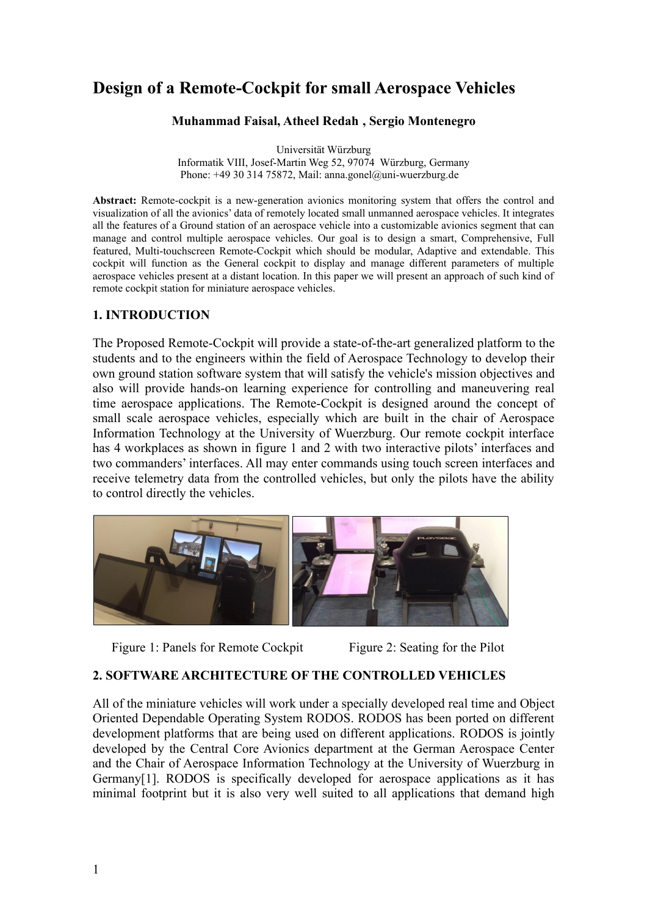# **Design of a Remote-Cockpit for small Aerospace Vehicles**

#### **Muhammad Faisal, Atheel Redah , Sergio Montenegro**

Universität Würzburg Informatik VIII, Josef-Martin Weg 52, 97074 Würzburg, Germany Phone: +49 30 314 75872, Mail: anna.gonel@uni-wuerzburg.de

**Abstract:** Remote-cockpit is a new-generation avionics monitoring system that offers the control and visualization of all the avionics' data of remotely located small unmanned aerospace vehicles. It integrates all the features of a Ground station of an aerospace vehicle into a customizable avionics segment that can manage and control multiple aerospace vehicles. Our goal is to design a smart, Comprehensive, Full featured, Multi-touchscreen Remote-Cockpit which should be modular, Adaptive and extendable. This cockpit will function as the General cockpit to display and manage different parameters of multiple aerospace vehicles present at a distant location. In this paper we will present an approach of such kind of remote cockpit station for miniature aerospace vehicles.

#### **1. INTRODUCTION**

The Proposed Remote-Cockpit will provide a state-of-the-art generalized platform to the students and to the engineers within the field of Aerospace Technology to develop their own ground station software system that will satisfy the vehicle's mission objectives and also will provide hands-on learning experience for controlling and maneuvering real time aerospace applications. The Remote-Cockpit is designed around the concept of small scale aerospace vehicles, especially which are built in the chair of Aerospace Information Technology at the University of Wuerzburg. Our remote cockpit interface has 4 workplaces as shown in figure 1 and 2 with two interactive pilots' interfaces and two commanders' interfaces. All may enter commands using touch screen interfaces and receive telemetry data from the controlled vehicles, but only the pilots have the ability to control directly the vehicles.



Figure 1: Panels for Remote Cockpit Figure 2: Seating for the Pilot

#### **2. SOFTWARE ARCHITECTURE OF THE CONTROLLED VEHICLES**

All of the miniature vehicles will work under a specially developed real time and Object Oriented Dependable Operating System RODOS. RODOS has been ported on different development platforms that are being used on different applications. RODOS is jointly developed by the Central Core Avionics department at the German Aerospace Center and the Chair of Aerospace Information Technology at the University of Wuerzburg in Germany[1]. RODOS is specifically developed for aerospace applications as it has minimal footprint but it is also very well suited to all applications that demand high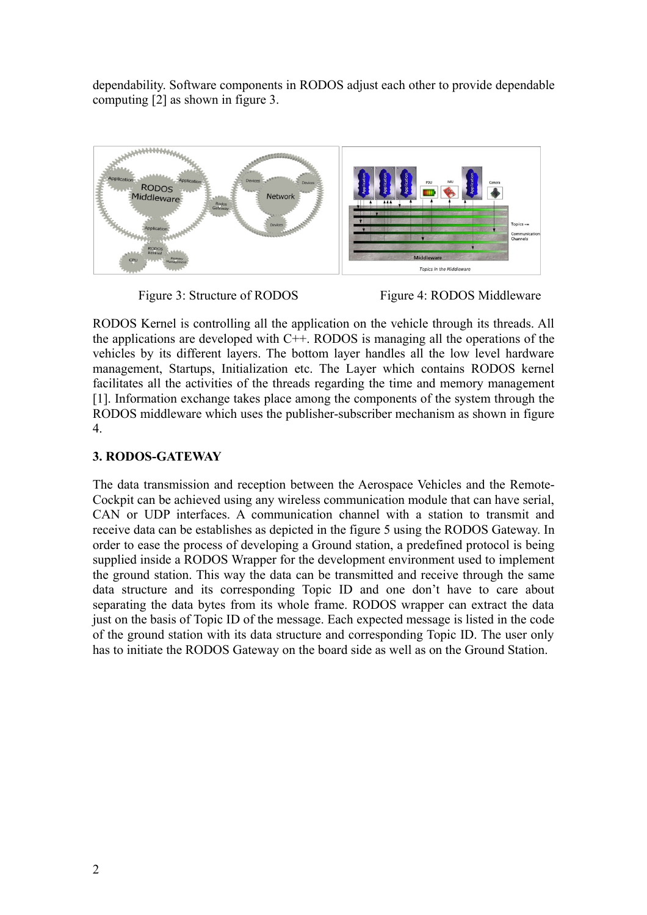dependability. Software components in RODOS adjust each other to provide dependable computing [2] as shown in figure 3.





RODOS Kernel is controlling all the application on the vehicle through its threads. All the applications are developed with  $C++$ . RODOS is managing all the operations of the vehicles by its different layers. The bottom layer handles all the low level hardware management, Startups, Initialization etc. The Layer which contains RODOS kernel facilitates all the activities of the threads regarding the time and memory management [1]. Information exchange takes place among the components of the system through the RODOS middleware which uses the publisher-subscriber mechanism as shown in figure 4.

## **3. RODOS-GATEWAY**

The data transmission and reception between the Aerospace Vehicles and the Remote-Cockpit can be achieved using any wireless communication module that can have serial, CAN or UDP interfaces. A communication channel with a station to transmit and receive data can be establishes as depicted in the figure 5 using the RODOS Gateway. In order to ease the process of developing a Ground station, a predefined protocol is being supplied inside a RODOS Wrapper for the development environment used to implement the ground station. This way the data can be transmitted and receive through the same data structure and its corresponding Topic ID and one don't have to care about separating the data bytes from its whole frame. RODOS wrapper can extract the data just on the basis of Topic ID of the message. Each expected message is listed in the code of the ground station with its data structure and corresponding Topic ID. The user only has to initiate the RODOS Gateway on the board side as well as on the Ground Station.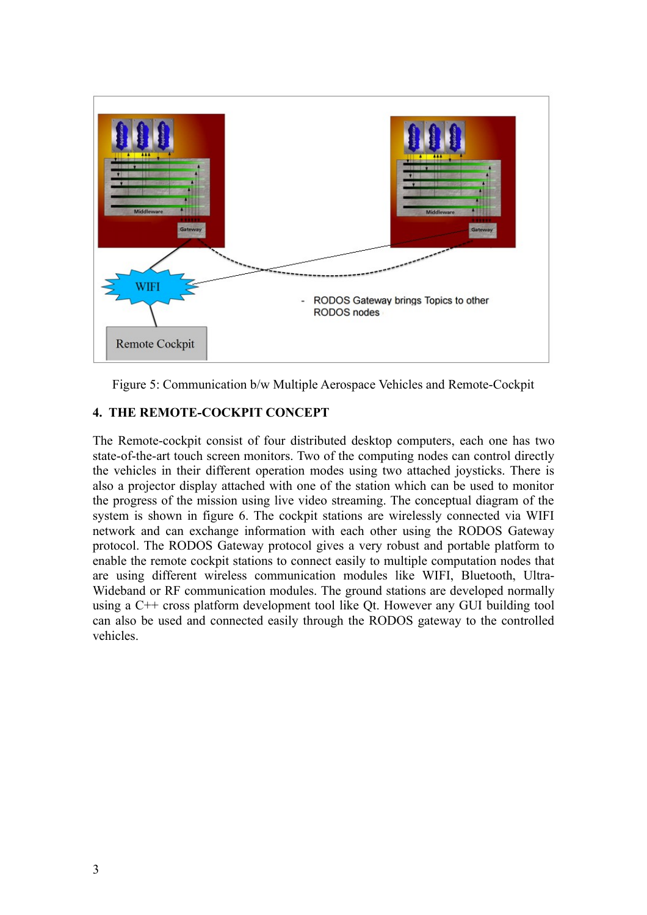

Figure 5: Communication b/w Multiple Aerospace Vehicles and Remote-Cockpit

## **4. THE REMOTE-COCKPIT CONCEPT**

The Remote-cockpit consist of four distributed desktop computers, each one has two state-of-the-art touch screen monitors. Two of the computing nodes can control directly the vehicles in their different operation modes using two attached joysticks. There is also a projector display attached with one of the station which can be used to monitor the progress of the mission using live video streaming. The conceptual diagram of the system is shown in figure 6. The cockpit stations are wirelessly connected via WIFI network and can exchange information with each other using the RODOS Gateway protocol. The RODOS Gateway protocol gives a very robust and portable platform to enable the remote cockpit stations to connect easily to multiple computation nodes that are using different wireless communication modules like WIFI, Bluetooth, Ultra-Wideband or RF communication modules. The ground stations are developed normally using a C++ cross platform development tool like Qt. However any GUI building tool can also be used and connected easily through the RODOS gateway to the controlled vehicles.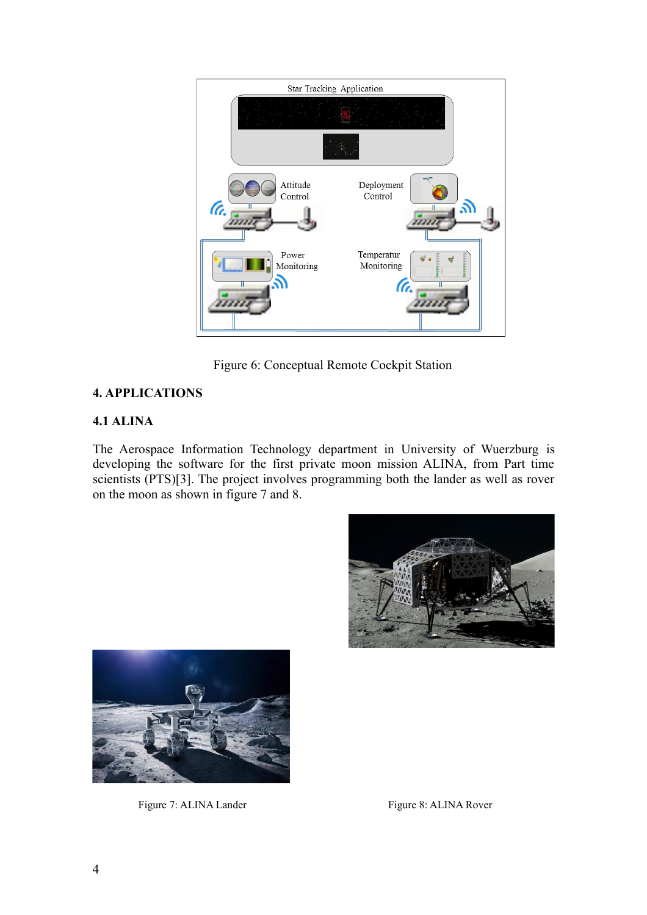

Figure 6: Conceptual Remote Cockpit Station

# **4. APPLICATIONS**

# **4.1 ALINA**

The Aerospace Information Technology department in University of Wuerzburg is developing the software for the first private moon mission ALINA, from Part time scientists (PTS)[3]. The project involves programming both the lander as well as rover on the moon as shown in figure 7 and 8.





Figure 7: ALINA Lander Figure 8: ALINA Rover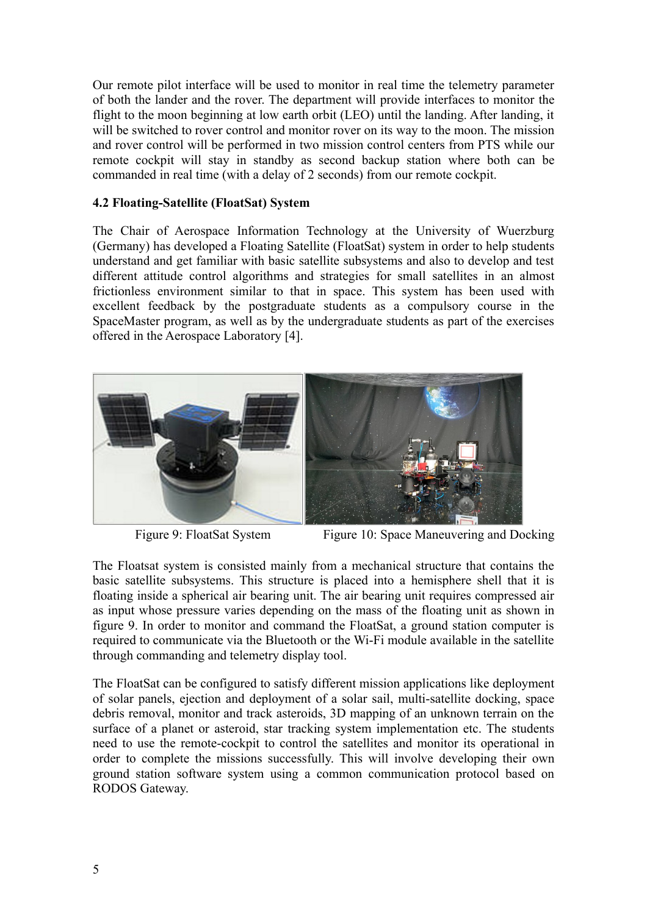Our remote pilot interface will be used to monitor in real time the telemetry parameter of both the lander and the rover. The department will provide interfaces to monitor the flight to the moon beginning at low earth orbit (LEO) until the landing. After landing, it will be switched to rover control and monitor rover on its way to the moon. The mission and rover control will be performed in two mission control centers from PTS while our remote cockpit will stay in standby as second backup station where both can be commanded in real time (with a delay of 2 seconds) from our remote cockpit.

#### **4.2 Floating-Satellite (FloatSat) System**

The Chair of Aerospace Information Technology at the University of Wuerzburg (Germany) has developed a Floating Satellite (FloatSat) system in order to help students understand and get familiar with basic satellite subsystems and also to develop and test different attitude control algorithms and strategies for small satellites in an almost frictionless environment similar to that in space. This system has been used with excellent feedback by the postgraduate students as a compulsory course in the SpaceMaster program, as well as by the undergraduate students as part of the exercises offered in the Aerospace Laboratory [4].



Figure 9: FloatSat System Figure 10: Space Maneuvering and Docking

The Floatsat system is consisted mainly from a mechanical structure that contains the basic satellite subsystems. This structure is placed into a hemisphere shell that it is floating inside a spherical air bearing unit. The air bearing unit requires compressed air as input whose pressure varies depending on the mass of the floating unit as shown in figure 9. In order to monitor and command the FloatSat, a ground station computer is required to communicate via the Bluetooth or the Wi-Fi module available in the satellite through commanding and telemetry display tool.

The FloatSat can be configured to satisfy different mission applications like deployment of solar panels, ejection and deployment of a solar sail, multi-satellite docking, space debris removal, monitor and track asteroids, 3D mapping of an unknown terrain on the surface of a planet or asteroid, star tracking system implementation etc. The students need to use the remote-cockpit to control the satellites and monitor its operational in order to complete the missions successfully. This will involve developing their own ground station software system using a common communication protocol based on RODOS Gateway.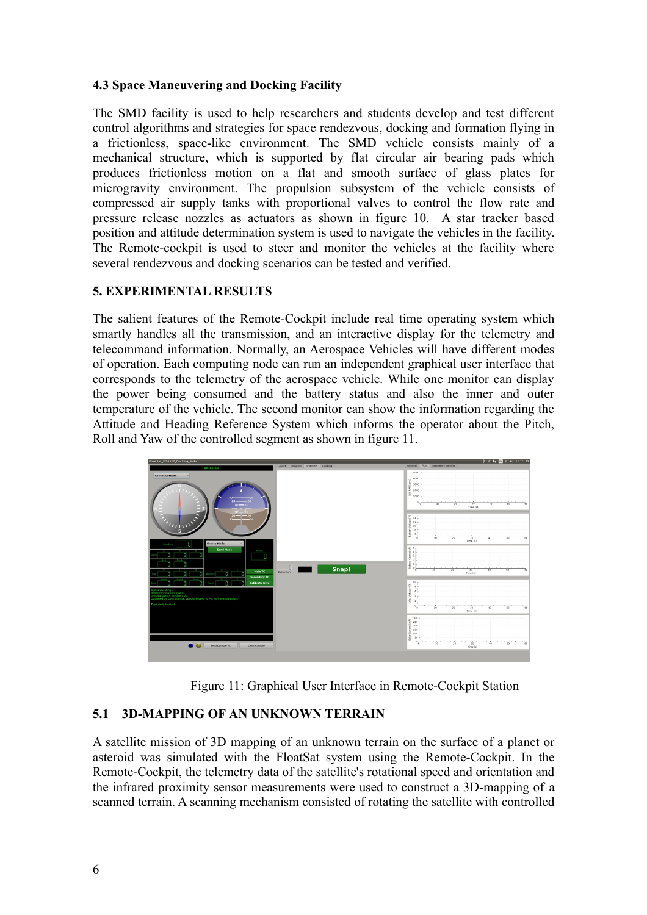## **4.3 Space Maneuvering and Docking Facility**

The SMD facility is used to help researchers and students develop and test different control algorithms and strategies for space rendezvous, docking and formation flying in a frictionless, space-like environment. The SMD vehicle consists mainly of a mechanical structure, which is supported by flat circular air bearing pads which produces frictionless motion on a flat and smooth surface of glass plates for microgravity environment. The propulsion subsystem of the vehicle consists of compressed air supply tanks with proportional valves to control the flow rate and pressure release nozzles as actuators as shown in figure 10. A star tracker based position and attitude determination system is used to navigate the vehicles in the facility. The Remote-cockpit is used to steer and monitor the vehicles at the facility where several rendezvous and docking scenarios can be tested and verified.

#### **5. EXPERIMENTAL RESULTS**

The salient features of the Remote-Cockpit include real time operating system which smartly handles all the transmission, and an interactive display for the telemetry and telecommand information. Normally, an Aerospace Vehicles will have different modes of operation. Each computing node can run an independent graphical user interface that corresponds to the telemetry of the aerospace vehicle. While one monitor can display the power being consumed and the battery status and also the inner and outer temperature of the vehicle. The second monitor can show the information regarding the Attitude and Heading Reference System which informs the operator about the Pitch, Roll and Yaw of the controlled segment as shown in figure 11.



Figure 11: Graphical User Interface in Remote-Cockpit Station

## **5.1 3D-MAPPING OF AN UNKNOWN TERRAIN**

A satellite mission of 3D mapping of an unknown terrain on the surface of a planet or asteroid was simulated with the FloatSat system using the Remote-Cockpit. In the Remote-Cockpit, the telemetry data of the satellite's rotational speed and orientation and the infrared proximity sensor measurements were used to construct a 3D-mapping of a scanned terrain. A scanning mechanism consisted of rotating the satellite with controlled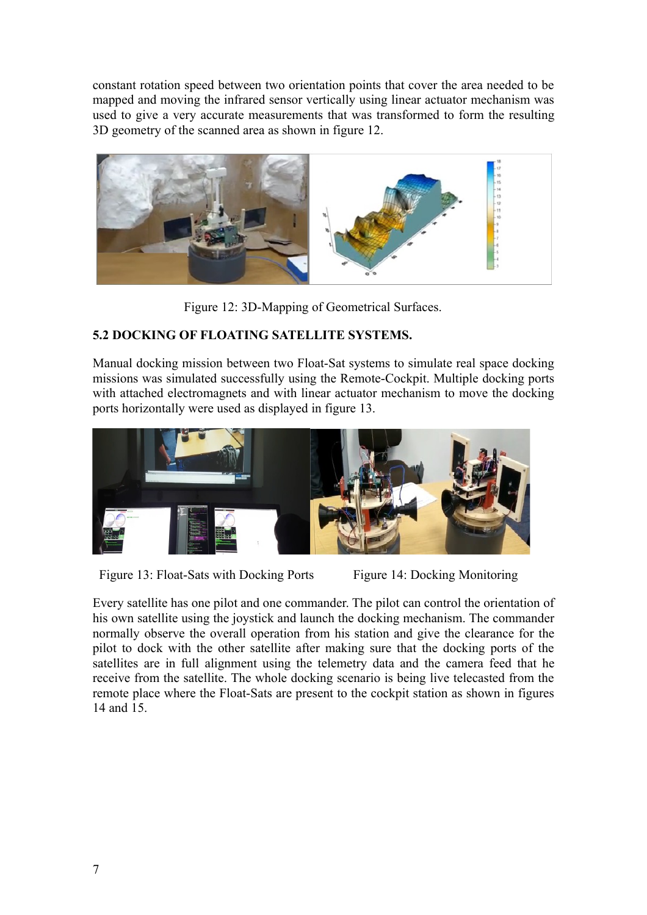constant rotation speed between two orientation points that cover the area needed to be mapped and moving the infrared sensor vertically using linear actuator mechanism was used to give a very accurate measurements that was transformed to form the resulting 3D geometry of the scanned area as shown in figure 12.



Figure 12: 3D-Mapping of Geometrical Surfaces.

# **5.2 DOCKING OF FLOATING SATELLITE SYSTEMS.**

Manual docking mission between two Float-Sat systems to simulate real space docking missions was simulated successfully using the Remote-Cockpit. Multiple docking ports with attached electromagnets and with linear actuator mechanism to move the docking ports horizontally were used as displayed in figure 13.



Figure 13: Float-Sats with Docking Ports Figure 14: Docking Monitoring

Every satellite has one pilot and one commander. The pilot can control the orientation of his own satellite using the joystick and launch the docking mechanism. The commander normally observe the overall operation from his station and give the clearance for the pilot to dock with the other satellite after making sure that the docking ports of the satellites are in full alignment using the telemetry data and the camera feed that he receive from the satellite. The whole docking scenario is being live telecasted from the remote place where the Float-Sats are present to the cockpit station as shown in figures 14 and 15.